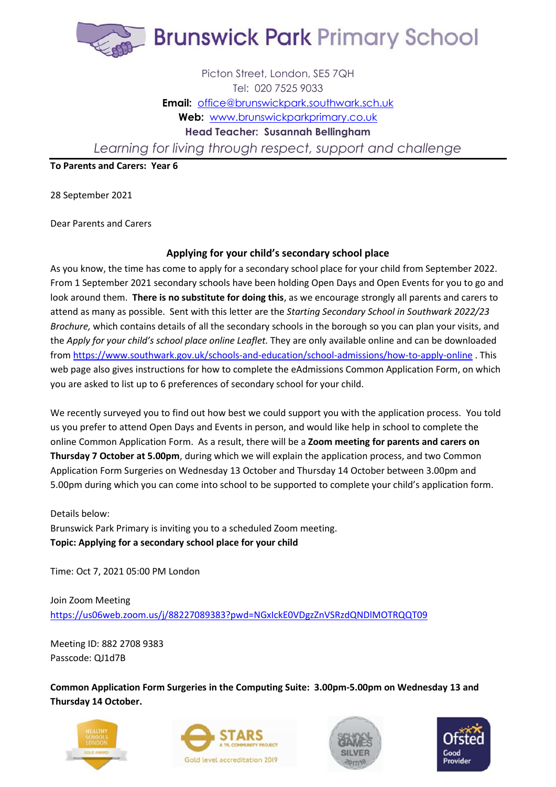

## Picton Street, London, SE5 7QH Tel: 020 7525 9033 **Email:** [office@brunswickpark.southwark.sch.uk](mailto:office@brunswickpark.southwark.sch.uk) Web: [www.brunswickparkprimary.co.uk](http://www.brunswickparkprimary.co.uk/) **Head Teacher: Susannah Bellingham** *Learning for living through respect, support and challenge*

**To Parents and Carers: Year 6**

28 September 2021

Dear Parents and Carers

## **Applying for your child's secondary school place**

As you know, the time has come to apply for a secondary school place for your child from September 2022. From 1 September 2021 secondary schools have been holding Open Days and Open Events for you to go and look around them. **There is no substitute for doing this**, as we encourage strongly all parents and carers to attend as many as possible. Sent with this letter are the *Starting Secondary School in Southwark 2022/23 Brochure,* which contains details of all the secondary schools in the borough so you can plan your visits, and the *Apply for your child's school place online Leaflet.* They are only available online and can be downloaded from<https://www.southwark.gov.uk/schools-and-education/school-admissions/how-to-apply-online> . This web page also gives instructions for how to complete the eAdmissions Common Application Form, on which you are asked to list up to 6 preferences of secondary school for your child.

We recently surveyed you to find out how best we could support you with the application process. You told us you prefer to attend Open Days and Events in person, and would like help in school to complete the online Common Application Form. As a result, there will be a **Zoom meeting for parents and carers on Thursday 7 October at 5.00pm**, during which we will explain the application process, and two Common Application Form Surgeries on Wednesday 13 October and Thursday 14 October between 3.00pm and 5.00pm during which you can come into school to be supported to complete your child's application form.

Details below: Brunswick Park Primary is inviting you to a scheduled Zoom meeting. **Topic: Applying for a secondary school place for your child**

Time: Oct 7, 2021 05:00 PM London

Join Zoom Meeting <https://us06web.zoom.us/j/88227089383?pwd=NGxIckE0VDgzZnVSRzdQNDlMOTRQQT09>

Meeting ID: 882 2708 9383 Passcode: QJ1d7B

**Common Application Form Surgeries in the Computing Suite: 3.00pm-5.00pm on Wednesday 13 and Thursday 14 October.**







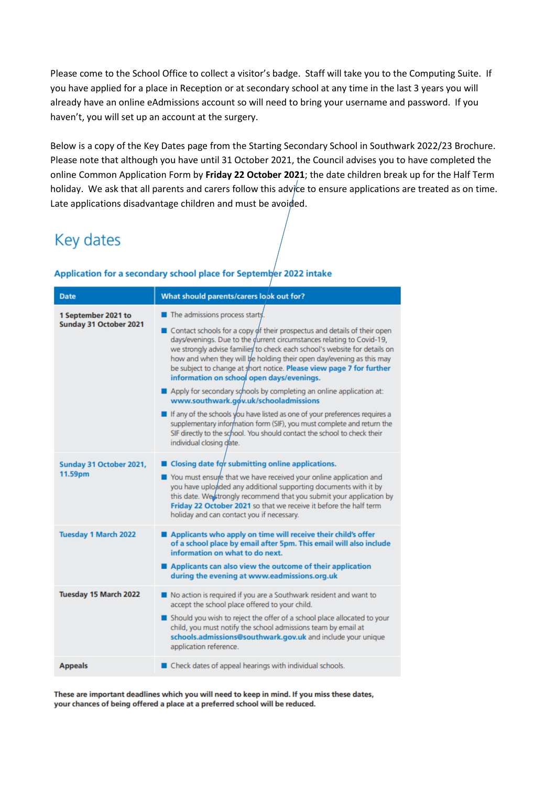Please come to the School Office to collect a visitor's badge. Staff will take you to the Computing Suite. If you have applied for a place in Reception or at secondary school at any time in the last 3 years you will already have an online eAdmissions account so will need to bring your username and password. If you haven't, you will set up an account at the surgery.

Below is a copy of the Key Dates page from the Starting Secondary School in Southwark 2022/23 Brochure. Please note that although you have until 31 October 2021, the Council advises you to have completed the online Common Application Form by **Friday 22 October 2021**; the date children break up for the Half Term holiday. We ask that all parents and carers follow this advice to ensure applications are treated as on time. Late applications disadvantage children and must be avoided.

## Key dates

| <b>Date</b>                                   | What should parents/carers look out for?                                                                                                                                                                                                                                                                                                                                                                                                                                                                                                                                                                                                                                                                                                                                                                                                                                     |
|-----------------------------------------------|------------------------------------------------------------------------------------------------------------------------------------------------------------------------------------------------------------------------------------------------------------------------------------------------------------------------------------------------------------------------------------------------------------------------------------------------------------------------------------------------------------------------------------------------------------------------------------------------------------------------------------------------------------------------------------------------------------------------------------------------------------------------------------------------------------------------------------------------------------------------------|
| 1 September 2021 to<br>Sunday 31 October 2021 | $\blacksquare$ The admissions process starts.<br>$\blacksquare$ Contact schools for a copy of their prospectus and details of their open<br>days/evenings. Due to the durrent circumstances relating to Covid-19,<br>we strongly advise families to check each school's website for details on<br>how and when they will be holding their open day/evening as this may<br>be subject to change at short notice. Please view page 7 for further<br>information on school open days/evenings.<br>Apply for secondary schools by completing an online application at:<br>www.southwark.gov.uk/schooladmissions<br>If any of the schools you have listed as one of your preferences requires a<br>supplementary information form (SIF), you must complete and return the<br>SIF directly to the school. You should contact the school to check their<br>individual closing date. |
| Sunday 31 October 2021,<br>11.59pm            | ■ Closing date for submitting online applications.<br>You must ensure that we have received your online application and<br>you have uploaded any additional supporting documents with it by<br>this date. We strongly recommend that you submit your application by<br>Friday 22 October 2021 so that we receive it before the half term<br>holiday and can contact you if necessary.                                                                                                                                                                                                                                                                                                                                                                                                                                                                                        |
| <b>Tuesday 1 March 2022</b>                   | Applicants who apply on time will receive their child's offer<br>of a school place by email after 5pm. This email will also include<br>information on what to do next.<br>Applicants can also view the outcome of their application<br>during the evening at www.eadmissions.org.uk                                                                                                                                                                                                                                                                                                                                                                                                                                                                                                                                                                                          |
| Tuesday 15 March 2022                         | No action is required if you are a Southwark resident and want to<br>accept the school place offered to your child.<br>Should you wish to reject the offer of a school place allocated to your<br>child, you must notify the school admissions team by email at<br>schools.admissions@southwark.gov.uk and include your unique<br>application reference.                                                                                                                                                                                                                                                                                                                                                                                                                                                                                                                     |
| <b>Appeals</b>                                | $\blacksquare$ Check dates of appeal hearings with individual schools.                                                                                                                                                                                                                                                                                                                                                                                                                                                                                                                                                                                                                                                                                                                                                                                                       |

## Application for a secondary school place for September 2022 intake

These are important deadlines which you will need to keep in mind. If you miss these dates, your chances of being offered a place at a preferred school will be reduced.